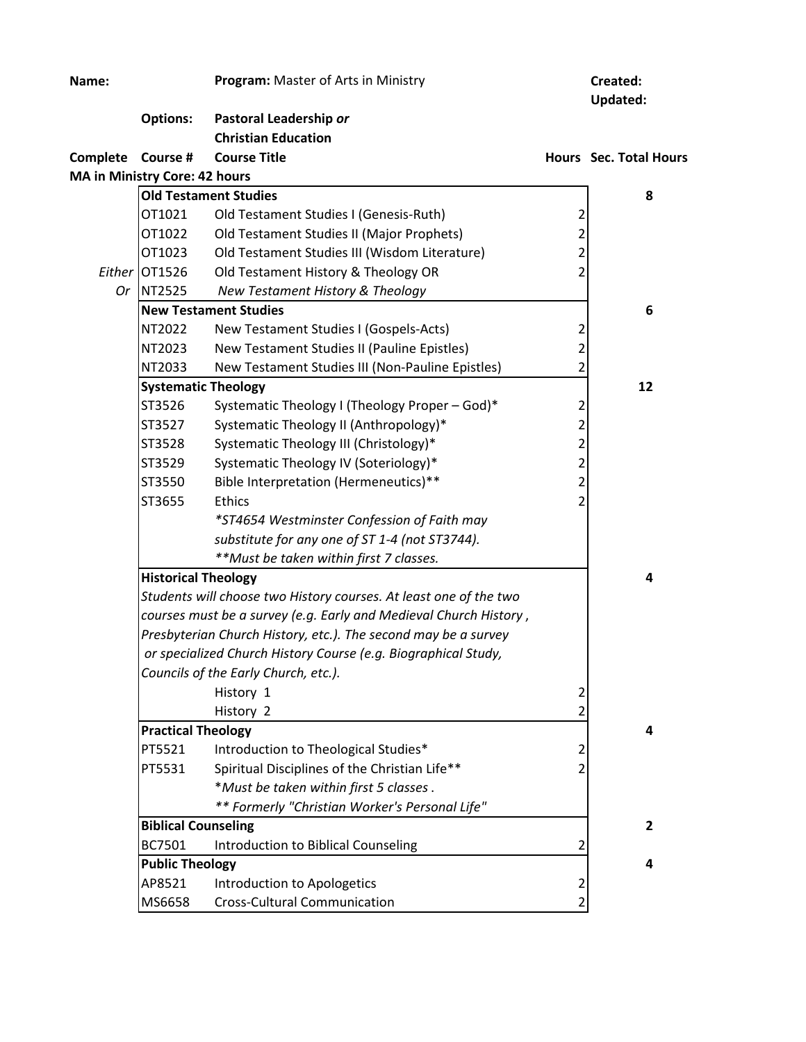| Name:                                |                                                                                                        | Program: Master of Arts in Ministry                               |                | Created:<br><b>Updated:</b>   |  |  |
|--------------------------------------|--------------------------------------------------------------------------------------------------------|-------------------------------------------------------------------|----------------|-------------------------------|--|--|
|                                      | <b>Options:</b>                                                                                        | Pastoral Leadership or                                            |                |                               |  |  |
|                                      |                                                                                                        | <b>Christian Education</b>                                        |                |                               |  |  |
| Complete Course #                    |                                                                                                        | <b>Course Title</b>                                               |                | <b>Hours</b> Sec. Total Hours |  |  |
| <b>MA in Ministry Core: 42 hours</b> |                                                                                                        |                                                                   |                |                               |  |  |
|                                      |                                                                                                        | <b>Old Testament Studies</b>                                      |                | 8                             |  |  |
|                                      | OT1021                                                                                                 | Old Testament Studies I (Genesis-Ruth)                            | 2              |                               |  |  |
|                                      | OT1022                                                                                                 | Old Testament Studies II (Major Prophets)                         | 2              |                               |  |  |
|                                      | OT1023                                                                                                 | Old Testament Studies III (Wisdom Literature)                     | $\overline{2}$ |                               |  |  |
|                                      | Either OT1526                                                                                          | Old Testament History & Theology OR                               | $\mathfrak z$  |                               |  |  |
|                                      | Or NT2525                                                                                              | New Testament History & Theology                                  |                |                               |  |  |
|                                      |                                                                                                        | <b>New Testament Studies</b>                                      |                | 6                             |  |  |
|                                      | NT2022                                                                                                 | New Testament Studies I (Gospels-Acts)                            | 2              |                               |  |  |
|                                      | NT2023                                                                                                 | New Testament Studies II (Pauline Epistles)                       | $\overline{2}$ |                               |  |  |
|                                      | NT2033                                                                                                 | New Testament Studies III (Non-Pauline Epistles)                  | 2              |                               |  |  |
|                                      | <b>Systematic Theology</b>                                                                             |                                                                   |                | 12                            |  |  |
|                                      | ST3526                                                                                                 | Systematic Theology I (Theology Proper - God)*                    | 2              |                               |  |  |
|                                      | ST3527                                                                                                 | Systematic Theology II (Anthropology)*                            | $\overline{2}$ |                               |  |  |
|                                      | ST3528                                                                                                 | Systematic Theology III (Christology)*                            | $\overline{2}$ |                               |  |  |
|                                      | ST3529                                                                                                 | Systematic Theology IV (Soteriology)*                             | $\overline{2}$ |                               |  |  |
|                                      | ST3550                                                                                                 | Bible Interpretation (Hermeneutics)**                             | $\overline{2}$ |                               |  |  |
|                                      | ST3655                                                                                                 | <b>Ethics</b>                                                     |                |                               |  |  |
|                                      |                                                                                                        | *ST4654 Westminster Confession of Faith may                       |                |                               |  |  |
|                                      |                                                                                                        | substitute for any one of ST 1-4 (not ST3744).                    |                |                               |  |  |
|                                      |                                                                                                        | **Must be taken within first 7 classes.                           |                |                               |  |  |
|                                      | <b>Historical Theology</b>                                                                             |                                                                   |                | 4                             |  |  |
|                                      | Students will choose two History courses. At least one of the two                                      |                                                                   |                |                               |  |  |
|                                      |                                                                                                        | courses must be a survey (e.g. Early and Medieval Church History, |                |                               |  |  |
|                                      |                                                                                                        | Presbyterian Church History, etc.). The second may be a survey    |                |                               |  |  |
|                                      | or specialized Church History Course (e.g. Biographical Study,<br>Councils of the Early Church, etc.). |                                                                   |                |                               |  |  |
|                                      |                                                                                                        |                                                                   |                |                               |  |  |
|                                      |                                                                                                        | History 1                                                         | 2              |                               |  |  |
|                                      |                                                                                                        | History 2                                                         | 2              |                               |  |  |
|                                      | <b>Practical Theology</b>                                                                              |                                                                   |                | 4                             |  |  |
|                                      | PT5521                                                                                                 | Introduction to Theological Studies*                              |                |                               |  |  |
|                                      | PT5531                                                                                                 | Spiritual Disciplines of the Christian Life**                     | 2              |                               |  |  |
|                                      |                                                                                                        | *Must be taken within first 5 classes.                            |                |                               |  |  |
|                                      |                                                                                                        | ** Formerly "Christian Worker's Personal Life"                    |                |                               |  |  |
|                                      | <b>Biblical Counseling</b>                                                                             |                                                                   |                | $\overline{2}$                |  |  |
|                                      | BC7501                                                                                                 | Introduction to Biblical Counseling                               |                |                               |  |  |
|                                      | <b>Public Theology</b>                                                                                 |                                                                   |                | 4                             |  |  |
|                                      | AP8521                                                                                                 | Introduction to Apologetics                                       | 2              |                               |  |  |
|                                      | MS6658                                                                                                 | <b>Cross-Cultural Communication</b>                               |                |                               |  |  |